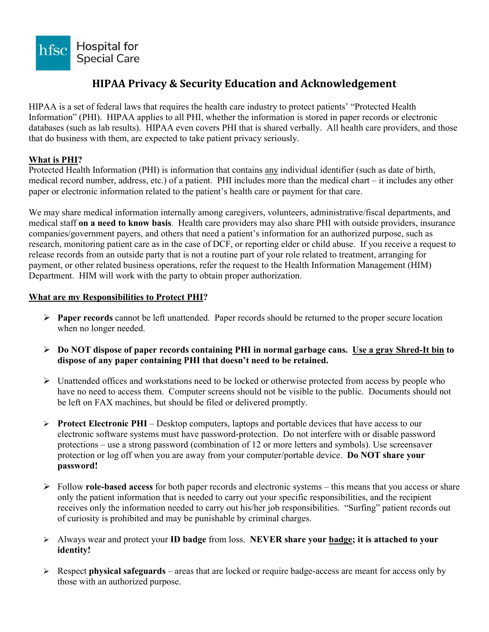

# **HIPAA Privacy & Security Education and Acknowledgement**

HIPAA is a set of federal laws that requires the health care industry to protect patients' "Protected Health Information" (PHI). HIPAA applies to all PHI, whether the information is stored in paper records or electronic databases (such as lab results). HIPAA even covers PHI that is shared verbally. All health care providers, and those that do business with them, are expected to take patient privacy seriously.

### **What is PHI?**

Protected Health Information (PHI) is information that contains any individual identifier (such as date of birth, medical record number, address, etc.) of a patient. PHI includes more than the medical chart – it includes any other paper or electronic information related to the patient's health care or payment for that care.

We may share medical information internally among caregivers, volunteers, administrative/fiscal departments, and medical staff **on a need to know basis**. Health care providers may also share PHI with outside providers, insurance companies/government payers, and others that need a patient's information for an authorized purpose, such as research, monitoring patient care as in the case of DCF, or reporting elder or child abuse. If you receive a request to release records from an outside party that is not a routine part of your role related to treatment, arranging for payment, or other related business operations, refer the request to the Health Information Management (HIM) Department. HIM will work with the party to obtain proper authorization.

#### **What are my Responsibilities to Protect PHI?**

- **Paper records** cannot be left unattended. Paper records should be returned to the proper secure location when no longer needed.
- **Do NOT dispose of paper records containing PHI in normal garbage cans. Use a gray Shred-It bin to dispose of any paper containing PHI that doesn't need to be retained.**
- $\triangleright$  Unattended offices and workstations need to be locked or otherwise protected from access by people who have no need to access them. Computer screens should not be visible to the public. Documents should not be left on FAX machines, but should be filed or delivered promptly.
- **Protect Electronic PHI** Desktop computers, laptops and portable devices that have access to our electronic software systems must have password-protection. Do not interfere with or disable password protections – use a strong password (combination of 12 or more letters and symbols). Use screensaver protection or log off when you are away from your computer/portable device. **Do NOT share your password!**
- Follow **role-based access** for both paper records and electronic systems this means that you access or share only the patient information that is needed to carry out your specific responsibilities, and the recipient receives only the information needed to carry out his/her job responsibilities. "Surfing" patient records out of curiosity is prohibited and may be punishable by criminal charges.
- Always wear and protect your **ID badge** from loss. **NEVER share your badge; it is attached to your identity!**
- Respect **physical safeguards** areas that are locked or require badge-access are meant for access only by those with an authorized purpose.